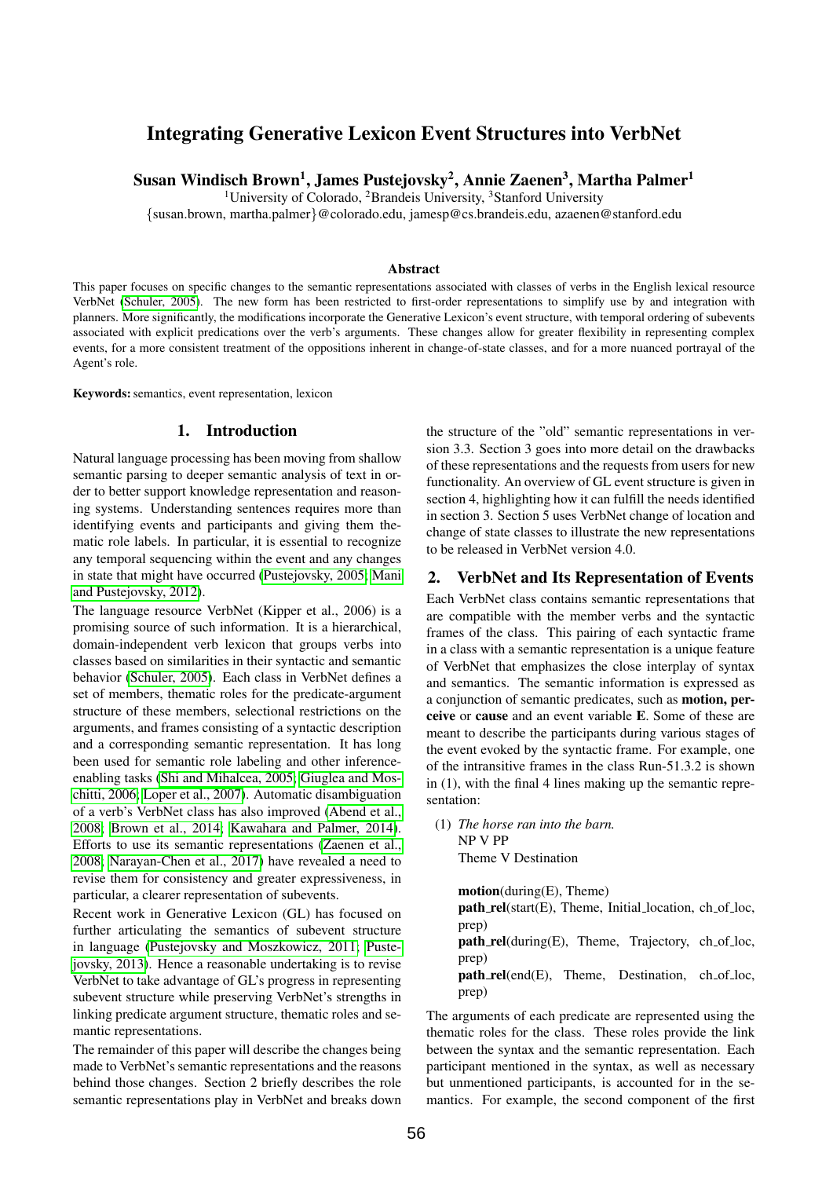# Integrating Generative Lexicon Event Structures into VerbNet

Susan Windisch Brown $^1$ , James Pustejovsky $^2$ , Annie Zaenen $^3$ , Martha Palmer $^1$ 

<sup>1</sup>University of Colorado, <sup>2</sup>Brandeis University, <sup>3</sup>Stanford University

{susan.brown, martha.palmer}@colorado.edu, jamesp@cs.brandeis.edu, azaenen@stanford.edu

### Abstract

This paper focuses on specific changes to the semantic representations associated with classes of verbs in the English lexical resource VerbNet [\(Schuler, 2005\)](#page-5-0). The new form has been restricted to first-order representations to simplify use by and integration with planners. More significantly, the modifications incorporate the Generative Lexicon's event structure, with temporal ordering of subevents associated with explicit predications over the verb's arguments. These changes allow for greater flexibility in representing complex events, for a more consistent treatment of the oppositions inherent in change-of-state classes, and for a more nuanced portrayal of the Agent's role.

Keywords: semantics, event representation, lexicon

#### 1. Introduction

Natural language processing has been moving from shallow semantic parsing to deeper semantic analysis of text in order to better support knowledge representation and reasoning systems. Understanding sentences requires more than identifying events and participants and giving them thematic role labels. In particular, it is essential to recognize any temporal sequencing within the event and any changes in state that might have occurred [\(Pustejovsky, 2005;](#page-5-1) [Mani](#page-5-2) [and Pustejovsky, 2012\)](#page-5-2).

The language resource VerbNet (Kipper et al., 2006) is a promising source of such information. It is a hierarchical, domain-independent verb lexicon that groups verbs into classes based on similarities in their syntactic and semantic behavior [\(Schuler, 2005\)](#page-5-0). Each class in VerbNet defines a set of members, thematic roles for the predicate-argument structure of these members, selectional restrictions on the arguments, and frames consisting of a syntactic description and a corresponding semantic representation. It has long been used for semantic role labeling and other inferenceenabling tasks [\(Shi and Mihalcea, 2005;](#page-5-3) [Giuglea and Mos](#page-5-4)[chitti, 2006;](#page-5-4) [Loper et al., 2007\)](#page-5-5). Automatic disambiguation of a verb's VerbNet class has also improved [\(Abend et al.,](#page-5-6) [2008;](#page-5-6) [Brown et al., 2014;](#page-5-7) [Kawahara and Palmer, 2014\)](#page-5-8). Efforts to use its semantic representations [\(Zaenen et al.,](#page-5-9) [2008;](#page-5-9) [Narayan-Chen et al., 2017\)](#page-5-10) have revealed a need to revise them for consistency and greater expressiveness, in particular, a clearer representation of subevents.

Recent work in Generative Lexicon (GL) has focused on further articulating the semantics of subevent structure in language [\(Pustejovsky and Moszkowicz, 2011;](#page-5-11) [Puste](#page-5-12)[jovsky, 2013\)](#page-5-12). Hence a reasonable undertaking is to revise VerbNet to take advantage of GL's progress in representing subevent structure while preserving VerbNet's strengths in linking predicate argument structure, thematic roles and semantic representations.

The remainder of this paper will describe the changes being made to VerbNet's semantic representations and the reasons behind those changes. Section 2 briefly describes the role semantic representations play in VerbNet and breaks down

the structure of the "old" semantic representations in version 3.3. Section 3 goes into more detail on the drawbacks of these representations and the requests from users for new functionality. An overview of GL event structure is given in section 4, highlighting how it can fulfill the needs identified in section 3. Section 5 uses VerbNet change of location and change of state classes to illustrate the new representations to be released in VerbNet version 4.0.

#### 2. VerbNet and Its Representation of Events

Each VerbNet class contains semantic representations that are compatible with the member verbs and the syntactic frames of the class. This pairing of each syntactic frame in a class with a semantic representation is a unique feature of VerbNet that emphasizes the close interplay of syntax and semantics. The semantic information is expressed as a conjunction of semantic predicates, such as motion, perceive or cause and an event variable E. Some of these are meant to describe the participants during various stages of the event evoked by the syntactic frame. For example, one of the intransitive frames in the class Run-51.3.2 is shown in (1), with the final 4 lines making up the semantic representation:

(1) *The horse ran into the barn.* NP V PP Theme V Destination

> motion(during(E), Theme) path\_rel(start(E), Theme, Initial\_location, ch\_of\_loc, prep)  $path_{\text{rel}}(during(E))$ , Theme, Trajectory, ch\_of\_loc, prep) path\_rel(end(E), Theme, Destination, ch\_of\_loc, prep)

The arguments of each predicate are represented using the thematic roles for the class. These roles provide the link between the syntax and the semantic representation. Each participant mentioned in the syntax, as well as necessary but unmentioned participants, is accounted for in the semantics. For example, the second component of the first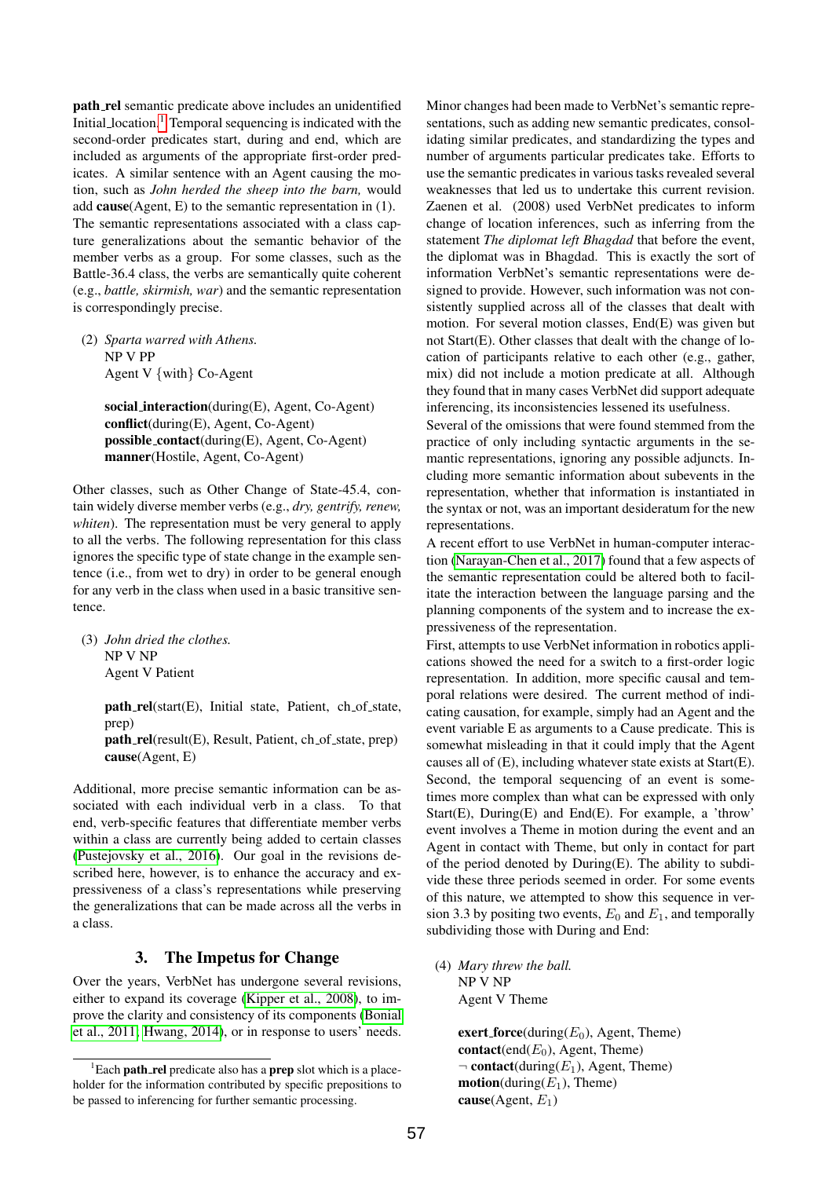path rel semantic predicate above includes an unidentified Initial location.<sup>[1](#page-1-0)</sup> Temporal sequencing is indicated with the second-order predicates start, during and end, which are included as arguments of the appropriate first-order predicates. A similar sentence with an Agent causing the motion, such as *John herded the sheep into the barn,* would add cause(Agent, E) to the semantic representation in (1). The semantic representations associated with a class capture generalizations about the semantic behavior of the member verbs as a group. For some classes, such as the Battle-36.4 class, the verbs are semantically quite coherent (e.g., *battle, skirmish, war*) and the semantic representation is correspondingly precise.

(2) *Sparta warred with Athens.* NP V PP Agent V {with} Co-Agent

> social interaction(during(E), Agent, Co-Agent) conflict(during(E), Agent, Co-Agent) possible contact(during(E), Agent, Co-Agent) manner(Hostile, Agent, Co-Agent)

Other classes, such as Other Change of State-45.4, contain widely diverse member verbs (e.g., *dry, gentrify, renew, whiten*). The representation must be very general to apply to all the verbs. The following representation for this class ignores the specific type of state change in the example sentence (i.e., from wet to dry) in order to be general enough for any verb in the class when used in a basic transitive sentence.

(3) *John dried the clothes.* NP V NP Agent V Patient

> $path_{rel}(start(E), Initial state, Patient, ch_of-state,$ prep)

> path\_rel(result(E), Result, Patient, ch\_of\_state, prep) cause(Agent, E)

Additional, more precise semantic information can be associated with each individual verb in a class. To that end, verb-specific features that differentiate member verbs within a class are currently being added to certain classes [\(Pustejovsky et al., 2016\)](#page-5-13). Our goal in the revisions described here, however, is to enhance the accuracy and expressiveness of a class's representations while preserving the generalizations that can be made across all the verbs in a class.

# 3. The Impetus for Change

Over the years, VerbNet has undergone several revisions, either to expand its coverage [\(Kipper et al., 2008\)](#page-5-14), to improve the clarity and consistency of its components [\(Bonial](#page-5-15) [et al., 2011;](#page-5-15) [Hwang, 2014\)](#page-5-16), or in response to users' needs. Minor changes had been made to VerbNet's semantic representations, such as adding new semantic predicates, consolidating similar predicates, and standardizing the types and number of arguments particular predicates take. Efforts to use the semantic predicates in various tasks revealed several weaknesses that led us to undertake this current revision. Zaenen et al. (2008) used VerbNet predicates to inform change of location inferences, such as inferring from the statement *The diplomat left Bhagdad* that before the event, the diplomat was in Bhagdad. This is exactly the sort of information VerbNet's semantic representations were designed to provide. However, such information was not consistently supplied across all of the classes that dealt with motion. For several motion classes, End(E) was given but not Start(E). Other classes that dealt with the change of location of participants relative to each other (e.g., gather, mix) did not include a motion predicate at all. Although they found that in many cases VerbNet did support adequate inferencing, its inconsistencies lessened its usefulness.

Several of the omissions that were found stemmed from the practice of only including syntactic arguments in the semantic representations, ignoring any possible adjuncts. Including more semantic information about subevents in the representation, whether that information is instantiated in the syntax or not, was an important desideratum for the new representations.

A recent effort to use VerbNet in human-computer interaction [\(Narayan-Chen et al., 2017\)](#page-5-10) found that a few aspects of the semantic representation could be altered both to facilitate the interaction between the language parsing and the planning components of the system and to increase the expressiveness of the representation.

First, attempts to use VerbNet information in robotics applications showed the need for a switch to a first-order logic representation. In addition, more specific causal and temporal relations were desired. The current method of indicating causation, for example, simply had an Agent and the event variable E as arguments to a Cause predicate. This is somewhat misleading in that it could imply that the Agent causes all of (E), including whatever state exists at Start(E). Second, the temporal sequencing of an event is sometimes more complex than what can be expressed with only Start(E), During(E) and End(E). For example, a 'throw' event involves a Theme in motion during the event and an Agent in contact with Theme, but only in contact for part of the period denoted by During(E). The ability to subdivide these three periods seemed in order. For some events of this nature, we attempted to show this sequence in version 3.3 by positing two events,  $E_0$  and  $E_1$ , and temporally subdividing those with During and End:

(4) *Mary threw the ball.* NP V NP Agent V Theme

> exert force(during( $E_0$ ), Agent, Theme) contact(end( $E_0$ ), Agent, Theme)  $\neg$  contact(during(E<sub>1</sub>), Agent, Theme)  $$ cause(Agent,  $E_1$ )

<span id="page-1-0"></span> ${}^{1}$ Each **path\_rel** predicate also has a **prep** slot which is a placeholder for the information contributed by specific prepositions to be passed to inferencing for further semantic processing.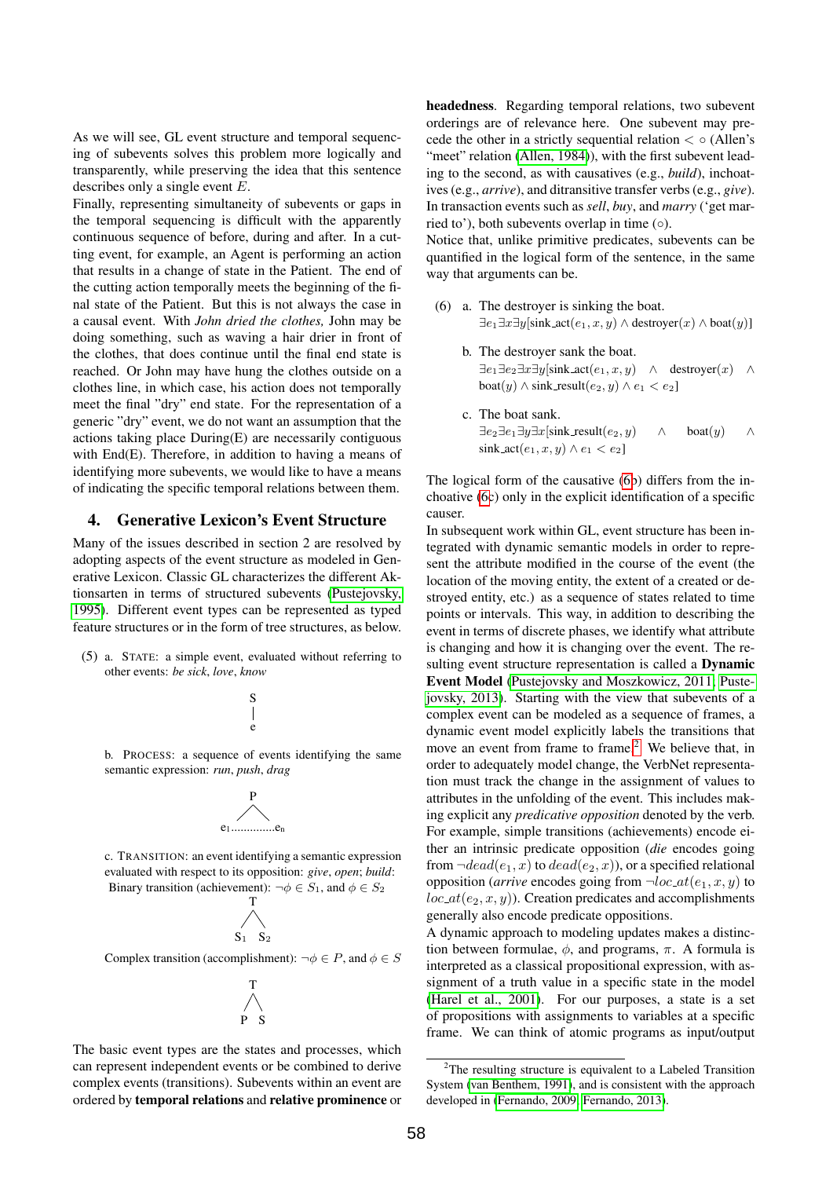As we will see, GL event structure and temporal sequencing of subevents solves this problem more logically and transparently, while preserving the idea that this sentence describes only a single event E.

Finally, representing simultaneity of subevents or gaps in the temporal sequencing is difficult with the apparently continuous sequence of before, during and after. In a cutting event, for example, an Agent is performing an action that results in a change of state in the Patient. The end of the cutting action temporally meets the beginning of the final state of the Patient. But this is not always the case in a causal event. With *John dried the clothes,* John may be doing something, such as waving a hair drier in front of the clothes, that does continue until the final end state is reached. Or John may have hung the clothes outside on a clothes line, in which case, his action does not temporally meet the final "dry" end state. For the representation of a generic "dry" event, we do not want an assumption that the actions taking place During(E) are necessarily contiguous with End(E). Therefore, in addition to having a means of identifying more subevents, we would like to have a means of indicating the specific temporal relations between them.

### 4. Generative Lexicon's Event Structure

Many of the issues described in section 2 are resolved by adopting aspects of the event structure as modeled in Generative Lexicon. Classic GL characterizes the different Aktionsarten in terms of structured subevents [\(Pustejovsky,](#page-5-17) [1995\)](#page-5-17). Different event types can be represented as typed feature structures or in the form of tree structures, as below.

(5) a. STATE: a simple event, evaluated without referring to other events: *be sick*, *love*, *know*



b. PROCESS: a sequence of events identifying the same semantic expression: *run*, *push*, *drag*



c. TRANSITION: an event identifying a semantic expression evaluated with respect to its opposition: *give*, *open*; *build*: Binary transition (achievement):  $\neg \phi \in S_1$ , and  $\phi \in S_2$ 



Complex transition (accomplishment):  $\neg \phi \in P$ , and  $\phi \in S$ 



The basic event types are the states and processes, which can represent independent events or be combined to derive complex events (transitions). Subevents within an event are ordered by temporal relations and relative prominence or headedness. Regarding temporal relations, two subevent orderings are of relevance here. One subevent may precede the other in a strictly sequential relation  $\langle \circ (A \parallel e n) \rangle$ "meet" relation [\(Allen, 1984\)](#page-5-18)), with the first subevent leading to the second, as with causatives (e.g., *build*), inchoatives (e.g., *arrive*), and ditransitive transfer verbs (e.g., *give*). In transaction events such as *sell*, *buy*, and *marry* ('get married to'), both subevents overlap in time  $(○)$ .

Notice that, unlike primitive predicates, subevents can be quantified in the logical form of the sentence, in the same way that arguments can be.

- (6) a. The destroyer is sinking the boat.  $\exists e_1 \exists x \exists y [\text{sink}\_\text{act}(e_1, x, y) \land \text{destroyer}(x) \land \text{boat}(y)]$ 
	- b. The destroyer sank the boat.  $\exists e_1 \exists e_2 \exists x \exists y [\text{sink}\_\text{act}(e_1, x, y) \land \text{destroyer}(x) \land \text{S}$ boat $(y) \wedge$  sink\_result $(e_2, y) \wedge e_1 < e_2$ ]
	- c. The boat sank.  $\exists e_2 \exists e_1 \exists y \exists x$ [sink\_result $(e_2, y) \wedge$  boat $(y)$ ]  $\text{sink}\_\text{act}(e_1, x, y) \wedge e_1 < e_2$

<span id="page-2-0"></span>The logical form of the causative [\(6b](#page-2-0)) differs from the inchoative [\(6c](#page-2-0)) only in the explicit identification of a specific causer.

In subsequent work within GL, event structure has been integrated with dynamic semantic models in order to represent the attribute modified in the course of the event (the location of the moving entity, the extent of a created or destroyed entity, etc.) as a sequence of states related to time points or intervals. This way, in addition to describing the event in terms of discrete phases, we identify what attribute is changing and how it is changing over the event. The resulting event structure representation is called a **Dynamic** Event Model [\(Pustejovsky and Moszkowicz, 2011;](#page-5-11) [Puste](#page-5-12)[jovsky, 2013\)](#page-5-12). Starting with the view that subevents of a complex event can be modeled as a sequence of frames, a dynamic event model explicitly labels the transitions that move an event from frame to frame.<sup>[2](#page-2-1)</sup> We believe that, in order to adequately model change, the VerbNet representation must track the change in the assignment of values to attributes in the unfolding of the event. This includes making explicit any *predicative opposition* denoted by the verb. For example, simple transitions (achievements) encode either an intrinsic predicate opposition (*die* encodes going from  $\neg dead(e_1, x)$  to  $dead(e_2, x)$ , or a specified relational opposition (*arrive* encodes going from  $\neg loc_at(e_1, x, y)$  to  $loc_at(e_2, x, y)$ . Creation predicates and accomplishments generally also encode predicate oppositions.

A dynamic approach to modeling updates makes a distinction between formulae,  $\phi$ , and programs,  $\pi$ . A formula is interpreted as a classical propositional expression, with assignment of a truth value in a specific state in the model [\(Harel et al., 2001\)](#page-5-19). For our purposes, a state is a set of propositions with assignments to variables at a specific frame. We can think of atomic programs as input/output

<span id="page-2-1"></span><sup>&</sup>lt;sup>2</sup>The resulting structure is equivalent to a Labeled Transition System [\(van Benthem, 1991\)](#page-5-20), and is consistent with the approach developed in [\(Fernando, 2009;](#page-5-21) [Fernando, 2013\)](#page-5-22).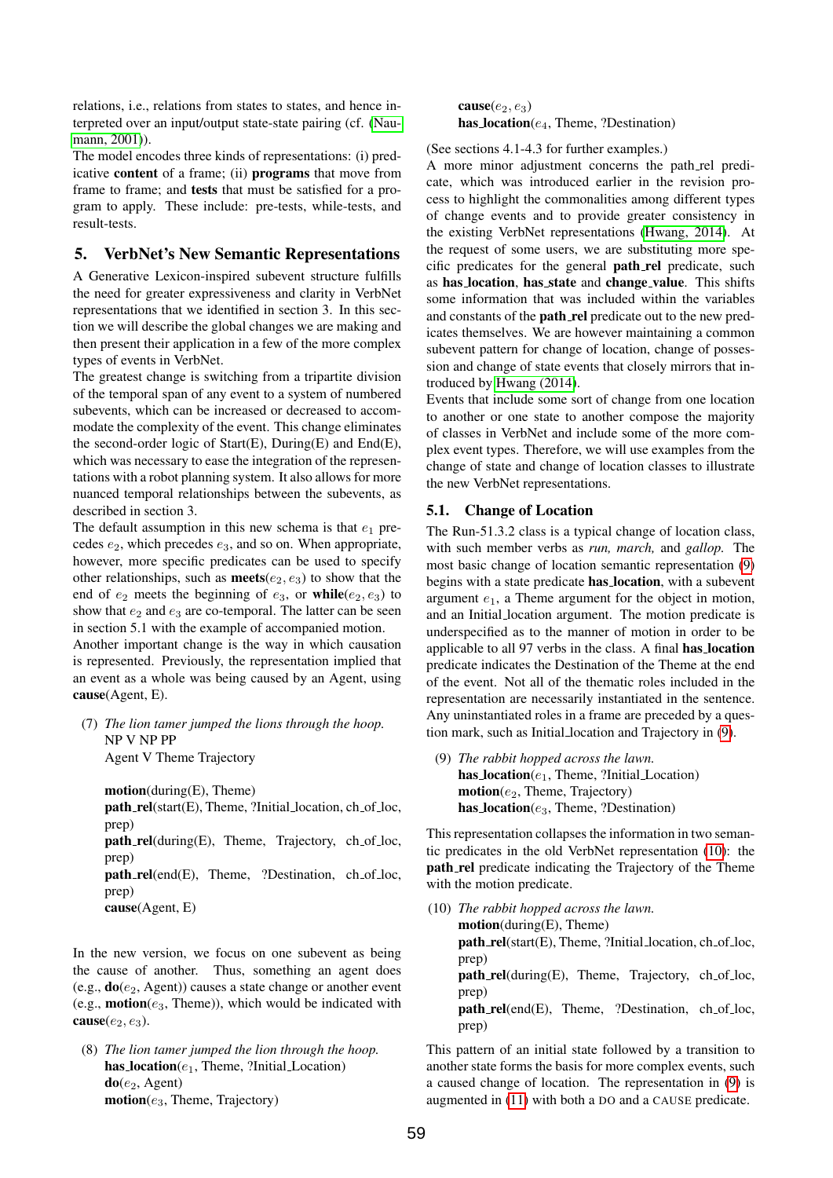relations, i.e., relations from states to states, and hence interpreted over an input/output state-state pairing (cf. [\(Nau](#page-5-23)[mann, 2001\)](#page-5-23)).

The model encodes three kinds of representations: (i) predicative content of a frame; (ii) programs that move from frame to frame; and tests that must be satisfied for a program to apply. These include: pre-tests, while-tests, and result-tests.

### 5. VerbNet's New Semantic Representations

A Generative Lexicon-inspired subevent structure fulfills the need for greater expressiveness and clarity in VerbNet representations that we identified in section 3. In this section we will describe the global changes we are making and then present their application in a few of the more complex types of events in VerbNet.

The greatest change is switching from a tripartite division of the temporal span of any event to a system of numbered subevents, which can be increased or decreased to accommodate the complexity of the event. This change eliminates the second-order logic of  $Start(E)$ ,  $During(E)$  and  $End(E)$ , which was necessary to ease the integration of the representations with a robot planning system. It also allows for more nuanced temporal relationships between the subevents, as described in section 3.

The default assumption in this new schema is that  $e_1$  precedes  $e_2$ , which precedes  $e_3$ , and so on. When appropriate, however, more specific predicates can be used to specify other relationships, such as **meets**( $e_2$ ,  $e_3$ ) to show that the end of  $e_2$  meets the beginning of  $e_3$ , or while( $e_2, e_3$ ) to show that  $e_2$  and  $e_3$  are co-temporal. The latter can be seen in section 5.1 with the example of accompanied motion.

Another important change is the way in which causation is represented. Previously, the representation implied that an event as a whole was being caused by an Agent, using cause(Agent, E).

(7) *The lion tamer jumped the lions through the hoop.* NP V NP PP Agent V Theme Trajectory

motion(during(E), Theme)  $path_{rel}(start(E), Theme, ?Initial_{location}, ch_{of_{loc}},$ prep)  $path_{\text{rel}}(during(E))$ , Theme, Trajectory, ch\_of\_loc, prep) path\_rel(end(E), Theme, ?Destination, ch\_of\_loc, prep) cause(Agent, E)

In the new version, we focus on one subevent as being the cause of another. Thus, something an agent does (e.g.,  $do(e_2, Agent)$ ) causes a state change or another event (e.g., **motion**( $e_3$ , Theme)), which would be indicated with cause $(e_2, e_3)$ .

(8) *The lion tamer jumped the lion through the hoop.* has  $location(e_1, Theme, ?Initial\_Location)$  $do(e_2, Agent)$  $motion(e_3,$  Theme, Trajectory)

cause $(e_2, e_3)$ has  $location(e_4, Theme, ?Destination)$ 

(See sections 4.1-4.3 for further examples.)

A more minor adjustment concerns the path rel predicate, which was introduced earlier in the revision process to highlight the commonalities among different types of change events and to provide greater consistency in the existing VerbNet representations [\(Hwang, 2014\)](#page-5-16). At the request of some users, we are substituting more specific predicates for the general path rel predicate, such as has location, has state and change value. This shifts some information that was included within the variables and constants of the **path\_rel** predicate out to the new predicates themselves. We are however maintaining a common subevent pattern for change of location, change of possession and change of state events that closely mirrors that introduced by [Hwang \(2014\)](#page-5-16).

Events that include some sort of change from one location to another or one state to another compose the majority of classes in VerbNet and include some of the more complex event types. Therefore, we will use examples from the change of state and change of location classes to illustrate the new VerbNet representations.

### 5.1. Change of Location

The Run-51.3.2 class is a typical change of location class, with such member verbs as *run, march,* and *gallop.* The most basic change of location semantic representation [\(9\)](#page-3-0) begins with a state predicate has location, with a subevent argument  $e_1$ , a Theme argument for the object in motion, and an Initial location argument. The motion predicate is underspecified as to the manner of motion in order to be applicable to all 97 verbs in the class. A final has location predicate indicates the Destination of the Theme at the end of the event. Not all of the thematic roles included in the representation are necessarily instantiated in the sentence. Any uninstantiated roles in a frame are preceded by a question mark, such as Initial location and Trajectory in [\(9\)](#page-3-0).

<span id="page-3-0"></span>(9) *The rabbit hopped across the lawn.* has  $Location(e_1, Theme, ?Initial\_Location)$  $motion(e_2,$  Theme, Trajectory) has  $location(e_3, Theme, ?Destination)$ 

This representation collapses the information in two semantic predicates in the old VerbNet representation [\(10\)](#page-3-1): the path rel predicate indicating the Trajectory of the Theme with the motion predicate.

<span id="page-3-1"></span>(10) *The rabbit hopped across the lawn.* motion(during(E), Theme)  $path_{\text{rel}}(\text{start}(E), \text{Then}, ?\text{Initial}(\text{location}, ch_{\text{of}}\text{loc},$ prep) path\_rel(during(E), Theme, Trajectory, ch\_of\_loc, prep) path\_rel(end(E), Theme, ?Destination, ch\_of\_loc, prep)

<span id="page-3-2"></span>This pattern of an initial state followed by a transition to another state forms the basis for more complex events, such a caused change of location. The representation in [\(9\)](#page-3-0) is augmented in [\(11\)](#page-3-2) with both a DO and a CAUSE predicate.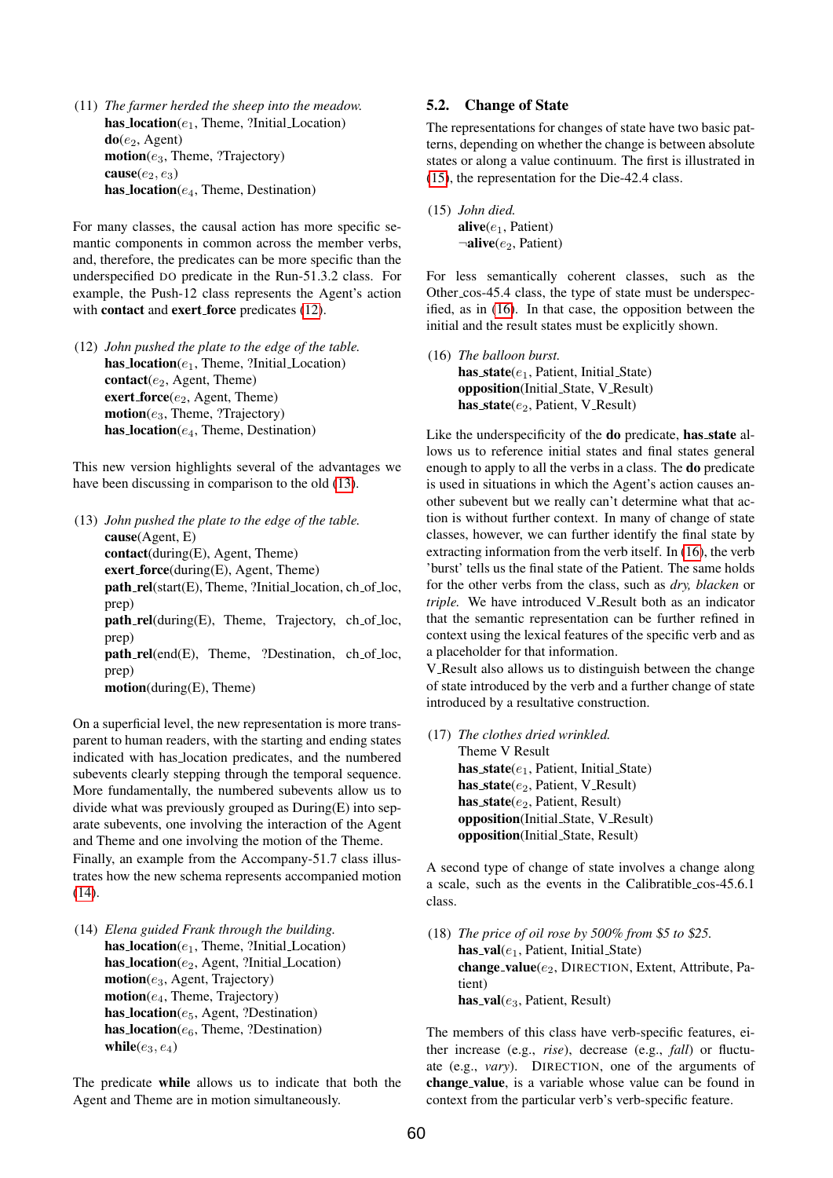(11) *The farmer herded the sheep into the meadow.* has  $location(e_1, Theme, ?Initial\_Location)$  $do(e_2, Agent)$  $motion(e_3, Theme, ?Trajectory)$ cause( $e_2, e_3$ ) has  $Location(e_4, Theme, Destination)$ 

For many classes, the causal action has more specific semantic components in common across the member verbs, and, therefore, the predicates can be more specific than the underspecified DO predicate in the Run-51.3.2 class. For example, the Push-12 class represents the Agent's action with **contact** and **exert force** predicates [\(12\)](#page-4-0).

<span id="page-4-0"></span>(12) *John pushed the plate to the edge of the table.* has  $location(e_1, Theme, ?Initial\_Location)$ contact( $e_2$ , Agent, Theme) exert\_force $(e_2,$  Agent, Theme)  $motion(e_3,$  Theme, ?Trajectory) has  $location(e_4, Theme, Destination)$ 

This new version highlights several of the advantages we have been discussing in comparison to the old [\(13\)](#page-4-1).

<span id="page-4-1"></span>(13) *John pushed the plate to the edge of the table.* cause(Agent, E) contact(during(E), Agent, Theme) exert force(during(E), Agent, Theme)  $path_{rel}(start(E), Theme, ?Initial_{location}, ch_{of_{loc}},$ prep)  $path_{\text{rel}}(during(E))$ , Theme, Trajectory, ch\_of\_loc, prep) path\_rel(end(E), Theme, ?Destination, ch\_of\_loc, prep) motion(during(E), Theme)

On a superficial level, the new representation is more transparent to human readers, with the starting and ending states indicated with has location predicates, and the numbered subevents clearly stepping through the temporal sequence. More fundamentally, the numbered subevents allow us to divide what was previously grouped as During(E) into separate subevents, one involving the interaction of the Agent and Theme and one involving the motion of the Theme. Finally, an example from the Accompany-51.7 class illustrates how the new schema represents accompanied motion  $(14)$ .

<span id="page-4-2"></span>(14) *Elena guided Frank through the building.* has  $location(e_1, Theme, ?Initial\_Location)$ has  $location(e_2, Agent, ?Initial\_Location)$  $motion(e_3, Agent, Trajectory)$  $motion(e_4, Theme, Trajectory)$ has  $location(e_5, Agent, ?Destination)$ has  $Location(e_6, Theme, ?Destination)$ while $(e_3, e_4)$ 

The predicate while allows us to indicate that both the Agent and Theme are in motion simultaneously.

### 5.2. Change of State

The representations for changes of state have two basic patterns, depending on whether the change is between absolute states or along a value continuum. The first is illustrated in [\(15\)](#page-4-3), the representation for the Die-42.4 class.

<span id="page-4-3"></span>(15) *John died.* alive $(e_1,$  Patient)  $\neg$ alive( $e_2$ , Patient)

For less semantically coherent classes, such as the Other\_cos-45.4 class, the type of state must be underspecified, as in [\(16\)](#page-4-4). In that case, the opposition between the initial and the result states must be explicitly shown.

<span id="page-4-4"></span>(16) *The balloon burst.* has  $state(e_1,$  Patient, Initial State) opposition(Initial State, V Result) has\_state $(e_2,$  Patient, V\_Result)

Like the underspecificity of the do predicate, has state allows us to reference initial states and final states general enough to apply to all the verbs in a class. The do predicate is used in situations in which the Agent's action causes another subevent but we really can't determine what that action is without further context. In many of change of state classes, however, we can further identify the final state by extracting information from the verb itself. In [\(16\)](#page-4-4), the verb 'burst' tells us the final state of the Patient. The same holds for the other verbs from the class, such as *dry, blacken* or *triple.* We have introduced V Result both as an indicator that the semantic representation can be further refined in context using the lexical features of the specific verb and as a placeholder for that information.

V\_Result also allows us to distinguish between the change of state introduced by the verb and a further change of state introduced by a resultative construction.

(17) *The clothes dried wrinkled.* Theme V Result has  $state(e_1,$  Patient, Initial State) has\_state( $e_2$ , Patient, V\_Result) has  $state(e_2,$  Patient, Result) opposition(Initial State, V Result) opposition(Initial State, Result)

A second type of change of state involves a change along a scale, such as the events in the Calibratible cos-45.6.1 class.

(18) *The price of oil rose by 500% from* \$*5 to* \$*25.* has\_val $(e_1,$  Patient, Initial\_State) change\_value( $e_2$ , DIRECTION, Extent, Attribute, Patient) has\_val $(e_3,$  Patient, Result)

The members of this class have verb-specific features, either increase (e.g., *rise*), decrease (e.g., *fall*) or fluctuate (e.g., *vary*). DIRECTION, one of the arguments of change value, is a variable whose value can be found in context from the particular verb's verb-specific feature.